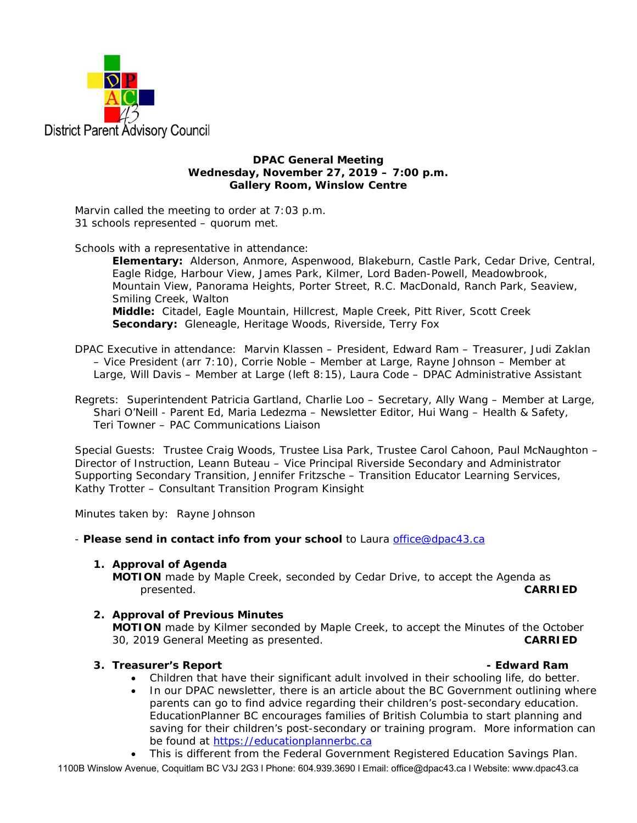

**DPAC General Meeting Wednesday, November 27, 2019 – 7:00 p.m. Gallery Room, Winslow Centre** 

Marvin called the meeting to order at 7:03 p.m. 31 schools represented – quorum met.

Schools with a representative in attendance:

**Elementary:** Alderson, Anmore, Aspenwood, Blakeburn, Castle Park, Cedar Drive, Central, Eagle Ridge, Harbour View, James Park, Kilmer, Lord Baden-Powell, Meadowbrook, Mountain View, Panorama Heights, Porter Street, R.C. MacDonald, Ranch Park, Seaview, Smiling Creek, Walton **Middle:** Citadel, Eagle Mountain, Hillcrest, Maple Creek, Pitt River, Scott Creek **Secondary:** Gleneagle, Heritage Woods, Riverside, Terry Fox

DPAC Executive in attendance: Marvin Klassen – President, Edward Ram – Treasurer, Judi Zaklan – Vice President (arr 7:10), Corrie Noble – Member at Large, Rayne Johnson – Member at Large, Will Davis – Member at Large (left 8:15), Laura Code – DPAC Administrative Assistant

Regrets: Superintendent Patricia Gartland, Charlie Loo – Secretary, Ally Wang – Member at Large, Shari O'Neill - Parent Ed, Maria Ledezma – Newsletter Editor, Hui Wang – Health & Safety, Teri Towner – PAC Communications Liaison

Special Guests: Trustee Craig Woods, Trustee Lisa Park, Trustee Carol Cahoon, Paul McNaughton – Director of Instruction, Leann Buteau – Vice Principal Riverside Secondary and Administrator Supporting Secondary Transition, Jennifer Fritzsche – Transition Educator Learning Services, Kathy Trotter – Consultant Transition Program Kinsight

Minutes taken by: Rayne Johnson

- *Please send in contact info from your school* to Laura office@dpac43.ca

**1. Approval of Agenda** 

**MOTION** made by *Maple Creek*, seconded by Cedar Drive, to accept the Agenda as presented. **CARRIED** 

**2. Approval of Previous Minutes MOTION** made by *Kilmer* seconded by Maple Creek, to accept the Minutes of the October 30, 2019 General Meeting as presented. **CARRIED** 

## **3. Treasurer's Report** *CONSIDER <b>EDWARD* **Edward Ram - Edward Ram**

- Children that have their significant adult involved in their schooling life, do better.
- In our DPAC newsletter, there is an article about the BC Government outlining where parents can go to find advice regarding their children's post-secondary education. EducationPlanner BC encourages families of British Columbia to start planning and saving for their children's post-secondary or training program. More information can be found at https://educationplannerbc.ca

1100B Winslow Avenue, Coquitlam BC V3J 2G3 l Phone: 604.939.3690 l Email: office@dpac43.ca l Website: www.dpac43.ca This is different from the Federal Government Registered Education Savings Plan.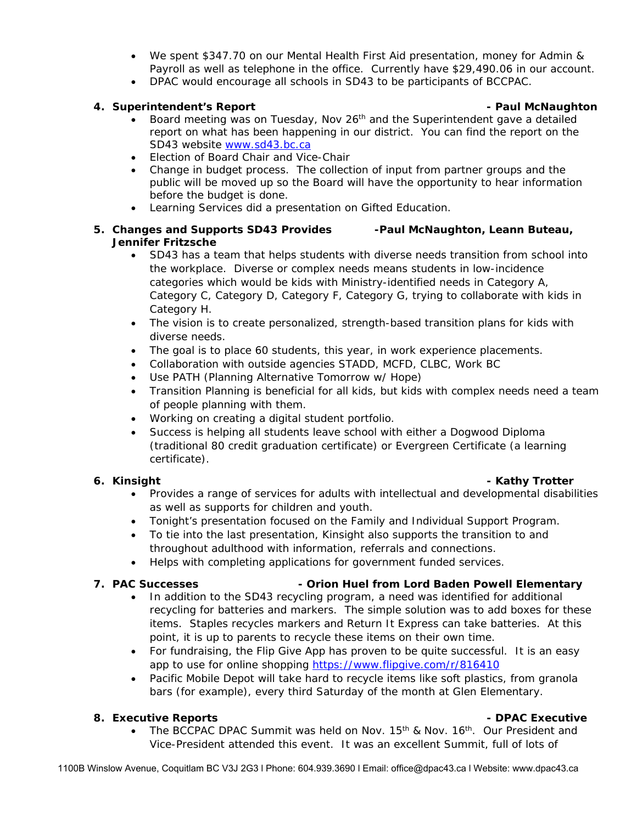- We spent \$347.70 on our Mental Health First Aid presentation, money for Admin & Payroll as well as telephone in the office. Currently have \$29,490.06 in our account.
- DPAC would encourage all schools in SD43 to be participants of BCCPAC.

## **4. Superintendent's Report - Paul McNaughton**

- Board meeting was on Tuesday, Nov  $26<sup>th</sup>$  and the Superintendent gave a detailed report on what has been happening in our district. You can find the report on the SD43 website www.sd43.bc.ca
- Flection of Board Chair and Vice-Chair
- Change in budget process. The collection of input from partner groups and the public will be moved up so the Board will have the opportunity to hear information before the budget is done.
- Learning Services did a presentation on Gifted Education.

# **5. Changes and Supports SD43 Provides -Paul McNaughton, Leann Buteau, Jennifer Fritzsche**

- SD43 has a team that helps students with diverse needs transition from school into the workplace. Diverse or complex needs means students in low-incidence categories which would be kids with Ministry-identified needs in Category A, Category C, Category D, Category F, Category G, trying to collaborate with kids in Category H.
- The vision is to create personalized, strength-based transition plans for kids with diverse needs.
- The goal is to place 60 students, this year, in work experience placements.
- Collaboration with outside agencies STADD, MCFD, CLBC, Work BC
- Use PATH (Planning Alternative Tomorrow w/ Hope)
- Transition Planning is beneficial for all kids, but kids with complex needs need a team of people planning with them.
- Working on creating a digital student portfolio.
- Success is helping all students leave school with either a Dogwood Diploma (traditional 80 credit graduation certificate) or Evergreen Certificate (a learning certificate).

## **6.** Kinsight **- Kathy Trotter is a set of the set of the set of the set of the set of the set of the set of the set of the set of the set of the set of the set of the set of the set of the set of the set of the set of the**

- Provides a range of services for adults with intellectual and developmental disabilities as well as supports for children and youth.
- Tonight's presentation focused on the Family and Individual Support Program.
- To tie into the last presentation, Kinsight also supports the transition to and throughout adulthood with information, referrals and connections.
- Helps with completing applications for government funded services.

- **7. PAC Successes Orion Huel from Lord Baden Powell Elementary** • In addition to the SD43 recycling program, a need was identified for additional
	- recycling for batteries and markers. The simple solution was to add boxes for these items. Staples recycles markers and Return It Express can take batteries. At this point, it is up to parents to recycle these items on their own time.
	- For fundraising, the Flip Give App has proven to be quite successful. It is an easy app to use for online shopping https://www.flipgive.com/r/816410
	- Pacific Mobile Depot will take hard to recycle items like soft plastics, from granola bars (for example), every third Saturday of the month at Glen Elementary.

# **8. Executive Reports - DPAC Executive**

• The BCCPAC DPAC Summit was held on Nov. 15<sup>th</sup> & Nov. 16<sup>th</sup>. Our President and Vice-President attended this event. It was an excellent Summit, full of lots of